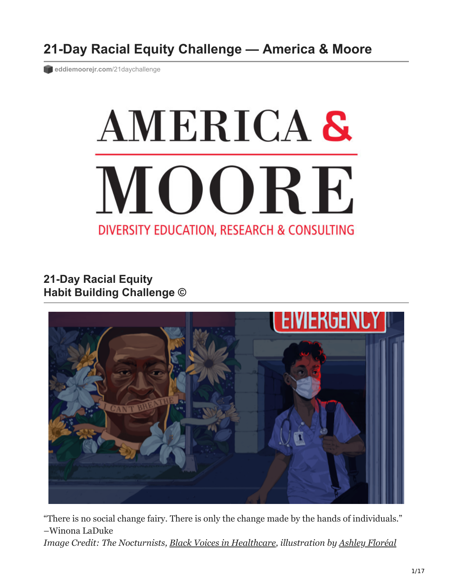# **21-Day Racial Equity Challenge — America & Moore**

**[eddiemoorejr.com](https://www.eddiemoorejr.com/21daychallenge)**/21daychallenge

# **AMERICA &** OORE M Ш DIVERSITY EDUCATION, RESEARCH & CONSULTING

**21-Day Racial Equity Habit Building Challenge ©**



"There is no social change fairy. There is only the change made by the hands of individuals." –Winona LaDuke

*Image Credit: The Nocturnists, [Black Voices in Healthcare,](https://thenocturnists.com/the-nocturnists-black-voices-in-healthcare) illustration by [Ashley Floréal](http://ashleyfloreal.com/)*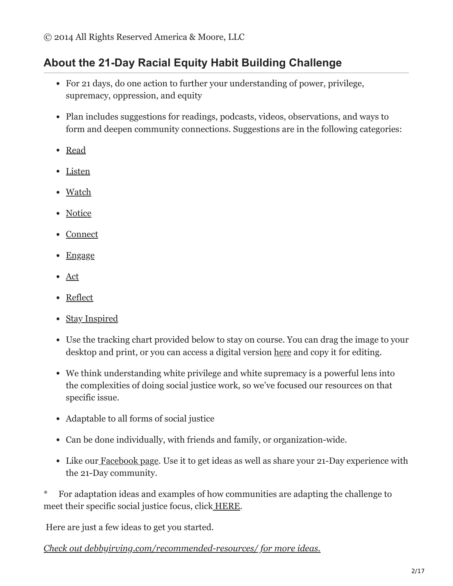## **About the 21-Day Racial Equity Habit Building Challenge**

- For 21 days, do one action to further your understanding of power, privilege, supremacy, oppression, and equity
- Plan includes suggestions for readings, podcasts, videos, observations, and ways to form and deepen community connections. Suggestions are in the following categories:
- [Read](https://www.eddiemoorejr.com/21daychallenge/#read)
- [Listen](https://www.eddiemoorejr.com/21daychallenge/#listen)
- [Watch](https://www.eddiemoorejr.com/21daychallenge/#watch)
- [Notice](https://www.eddiemoorejr.com/21daychallenge/#notice)
- [Connect](https://www.eddiemoorejr.com/21daychallenge/#connect)
- [Engage](https://www.eddiemoorejr.com/21daychallenge/#engage)
- [Act](https://www.eddiemoorejr.com/21daychallenge/#act)
- [Reflect](https://www.eddiemoorejr.com/21daychallenge/#reflect)
- [Stay Inspired](https://www.eddiemoorejr.com/21daychallenge/#stayinspired)
- Use the tracking chart provided below to stay on course. You can drag the image to your desktop and print, or you can access a digital version [here](https://bit.ly/21DayTracker) and copy it for editing.
- We think understanding white privilege and white supremacy is a powerful lens into the complexities of doing social justice work, so we've focused our resources on that specific issue.
- Adaptable to all forms of social justice
- Can be done individually, with friends and family, or organization-wide.
- Like our [Facebook page](https://www.facebook.com/21DayREHBC). Use it to get ideas as well as share your 21-Day experience with the 21-Day community.

\* For adaptation ideas and examples of how communities are adapting the challenge to meet their specific social justice focus, click [HERE.](https://debbyirving.com/21-day-plan-community-adopters/)

Here are just a few ideas to get you started.

*[Check out debbyirving.com/recommended-resources/ for more ideas.](https://debbyirving.com/recommended-resources/)*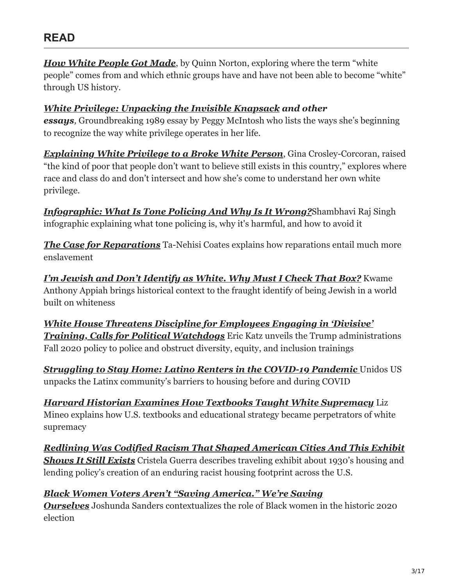*[How White People Got Made](https://medium.com/message/how-white-people-got-made-6eeb076ade42)*, by Quinn Norton, exploring where the term "white people" comes from and which ethnic groups have and have not been able to become "white" through US history.

#### *[White Privilege: Unpacking the Invisible Knapsack](http://nationalseedproject.org/peggy-mcintosh-s-white-privilege-papers) and other*

*essays,* Groundbreaking 1989 essay by Peggy McIntosh who lists the ways she's beginning to recognize the way white privilege operates in her life.

*[Explaining White Privilege to a Broke White Person](http://www.huffingtonpost.com/gina-crosleycorcoran/explaining-white-privilege-to-a-broke-white-person_b_5269255.html?utm_hp_ref=tw)*, Gina Crosley-Corcoran, raised "the kind of poor that people don't want to believe still exists in this country," explores where race and class do and don't intersect and how she's come to understand her own white privilege.

*[Infographic: What Is Tone Policing And Why Is It Wrong?](https://feminisminindia.com/2020/07/17/infographic-tone-policing-why-its-wrong/)*Shambhavi Raj Singh infographic explaining what tone policing is, why it's harmful, and how to avoid it

*[The Case for Reparations](https://www.theatlantic.com/magazine/archive/2014/06/the-case-for-reparations/361631/)* Ta-Nehisi Coates explains how reparations entail much more enslavement

*[I'm Jewish and Don't Identify as White. Why Must I Check That Box?](https://www.nytimes.com/2020/10/13/magazine/im-jewish-and-dont-identify-as-white-why-must-i-check-that-box.html?referringSource=articleShare&fbclid=IwAR2wR1xVv-Sl5rb5kKyigJS2XrBRWdzSVgKL-EP228LpUaSetVoe4-n7p_g)* Kwame Anthony Appiah brings historical context to the fraught identify of being Jewish in a world built on whiteness

*[White House Threatens Discipline for Employees Engaging in 'Divisive'](https://www.govexec.com/workforce/2020/09/white-house-threatens-discipline-employees-engaging-divisive-training-calls-political-watchdogs/168830/) Training, Calls for Political Watchdogs* Eric Katz unveils the Trump administrations Fall 2020 policy to police and obstruct diversity, equity, and inclusion trainings

*[Struggling to Stay Home: Latino Renters in the COVID-19 Pandemic](http://publications.unidosus.org/bitstream/handle/123456789/2087/unidosus_latinorentersbrief.pdf?sequence=4&isAllowed=y)* Unidos US unpacks the Latinx community's barriers to housing before and during COVID

*[Harvard Historian Examines How Textbooks Taught White Supremacy](https://news.harvard.edu/gazette/story/2020/09/harvard-historian-examines-how-textbooks-taught-white-supremacy/?fbclid=IwAR1WO4SoDjJcYliN1kK8dmcZlk_D3E8zoo1pPdXPRzff4LBULpbPYRKt1CE)* Liz Mineo explains how U.S. textbooks and educational strategy became perpetrators of white supremacy

*[Redlining Was Codified Racism That Shaped American Cities And This Exhibit](https://www.wbur.org/artery/2019/04/25/redlining-exhibit) Shows It Still Exists* Cristela Guerra describes traveling exhibit about 1930's housing and lending policy's creation of an enduring racist housing footprint across the U.S.

#### *[Black Women Voters Aren't "Saving America." We're Saving](https://inthesetimes.com/article/black-women-history-voting-polls-progressive-democrats-roy-moore-doug-jones)*

*Ourselves* Joshunda Sanders contextualizes the role of Black women in the historic 2020 election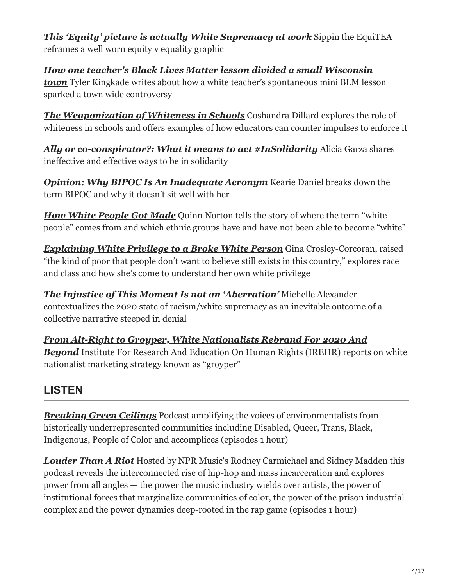*[This 'Equity' picture is actually White Supremacy at work](https://medium.com/@eec/this-equity-picture-is-actually-white-supremacy-at-work-59f4ea700509)* Sippin the EquiTEA reframes a well worn equity v equality graphic

*[How one teacher's Black Lives Matter lesson divided a small Wisconsin](https://www.nbcnews.com/news/us-news/how-one-teacher-s-black-lives-matter-lesson-divided-small-n1244566) town* Tyler Kingkade writes about how a white teacher's spontaneous mini BLM lesson sparked a town wide controversy

*[The Weaponization of Whiteness in Schools](https://www.tolerance.org/magazine/fall-2020/the-weaponization-of-whiteness-in-schools?fbclid=IwAR29GR-vMMrr3bP1NEfNMobKyqH5lIRa0m-NnvRKLC8R-3a5G1wvbebaj)* Coshandra Dillard explores the role of whiteness in schools and offers examples of how educators can counter impulses to enforce it

*[Ally or co-conspirator?: What it means to act #InSolidarity](https://movetoendviolence.org/blog/ally-co-conspirator-means-act-insolidarity/)* Alicia Garza shares ineffective and effective ways to be in solidarity

*[Opinion: Why BIPOC Is An Inadequate Acronym](https://www.chatelaine.com/opinion/what-is-bipoc/)* Kearie Daniel breaks down the term BIPOC and why it doesn't sit well with her

*[How White People Got Made](https://medium.com/message/how-white-people-got-made-6eeb076ade42)* Quinn Norton tells the story of where the term "white people" comes from and which ethnic groups have and have not been able to become "white"

*[Explaining White Privilege to a Broke White Person](http://www.huffingtonpost.com/gina-crosleycorcoran/explaining-white-privilege-to-a-broke-white-person_b_5269255.html?utm_hp_ref=tw)* Gina Crosley-Corcoran, raised "the kind of poor that people don't want to believe still exists in this country," explores race and class and how she's come to understand her own white privilege

*[The Injustice of This Moment Is not an 'Aberration'](https://www.nytimes.com/2020/01/17/opinion/sunday/michelle-alexander-new-jim-crow.html?smid=nytcore-ios-share)* Michelle Alexander contextualizes the 2020 state of racism/white supremacy as an inevitable outcome of a collective narrative steeped in denial

*[From Alt-Right to Groyper, White Nationalists Rebrand For 2020 And](https://www.irehr.org/reports/alt-right-to-groyper/)* **Beyond** Institute For Research And Education On Human Rights (IREHR) reports on white nationalist marketing strategy known as "groyper"

## **LISTEN**

*[Breaking Green Ceilings](http://watersavvysolutions.com/podcast/)* Podcast amplifying the voices of environmentalists from historically underrepresented communities including Disabled, Queer, Trans, Black, Indigenous, People of Color and accomplices (episodes 1 hour)

*[Louder Than A Riot](https://www.npr.org/podcasts/510357/louder-than-a-riot)* Hosted by NPR Music's Rodney Carmichael and Sidney Madden this podcast reveals the interconnected rise of hip-hop and mass incarceration and explores power from all angles — the power the music industry wields over artists, the power of institutional forces that marginalize communities of color, the power of the prison industrial complex and the power dynamics deep-rooted in the rap game (episodes 1 hour)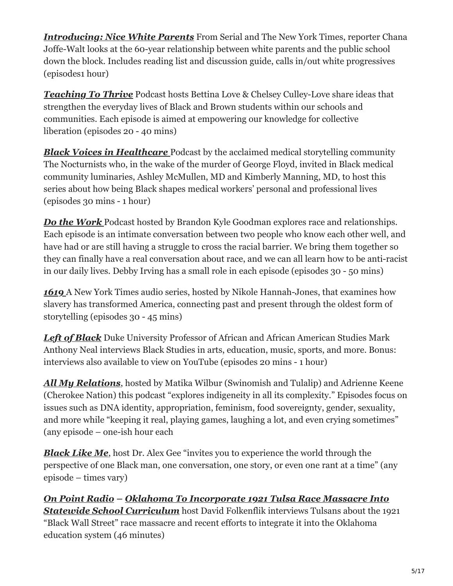*[Introducing: Nice White Parents](https://www.nytimes.com/2020/07/23/podcasts/nice-white-parents-serial.html)* From Serial and The New York Times, reporter Chana Joffe-Walt looks at the 60-year relationship between white parents and the public school down the block. Includes reading list and discussion guide, calls in/out white progressives (episodes1 hour)

*[Teaching To Thrive](https://podcasts.apple.com/us/podcast/atn-teaching-to-thrive/id1525043025)* Podcast hosts Bettina Love & Chelsey Culley-Love share ideas that strengthen the everyday lives of Black and Brown students within our schools and communities. Each episode is aimed at empowering our knowledge for collective liberation (episodes 20 - 40 mins)

*[Black Voices in Healthcare](https://thenocturnists.com/the-nocturnists-black-voices-in-healthcare)* Podcast by the acclaimed medical storytelling community The Nocturnists who, in the wake of the murder of George Floyd, invited in Black medical community luminaries, Ashley McMullen, MD and Kimberly Manning, MD, to host this series about how being Black shapes medical workers' personal and professional lives (episodes 30 mins - 1 hour)

*[Do the Work](https://www.threeuncannyfour.com/show/do-the-work/)* Podcast hosted by Brandon Kyle Goodman explores race and relationships. Each episode is an intimate conversation between two people who know each other well, and have had or are still having a struggle to cross the racial barrier. We bring them together so they can finally have a real conversation about race, and we can all learn how to be anti-racist in our daily lives. Debby Irving has a small role in each episode (episodes 30 - 50 mins)

*[1619](https://www.nytimes.com/2020/01/23/podcasts/1619-podcast.html)* A New York Times audio series, hosted by Nikole Hannah-Jones, that examines how slavery has transformed America, connecting past and present through the oldest form of storytelling (episodes 30 - 45 mins)

**[Left of Black](https://www.youtube.com/playlist?list=PLBEF73A21DAA138AF)** Duke University Professor of African and African American Studies Mark Anthony Neal interviews Black Studies in arts, education, music, sports, and more. Bonus: interviews also available to view on YouTube (episodes 20 mins - 1 hour)

*[All My Relations](https://www.allmyrelationspodcast.com/)*, hosted by Matika Wilbur (Swinomish and Tulalip) and Adrienne Keene (Cherokee Nation) this podcast "explores indigeneity in all its complexity." Episodes focus on issues such as DNA identity, appropriation, feminism, food sovereignty, gender, sexuality, and more while "keeping it real, playing games, laughing a lot, and even crying sometimes" (any episode – one-ish hour each

**[Black Like Me](https://www.alexgee.com/category/blacklikeme/)**, host Dr. Alex Gee "invites you to experience the world through the perspective of one Black man, one conversation, one story, or even one rant at a time" (any episode – times vary)

### *[On Point Radio](https://www.wbur.org/onpoint/2020/02/28/tulsa-race-massacre-school-curriculum)* **–** *[Oklahoma To Incorporate 1921 Tulsa Race Massacre Into](https://www.wbur.org/onpoint/2020/02/28/tulsa-race-massacre-school-curriculum) Statewide School Curriculum* host David Folkenflik interviews Tulsans about the 1921

"Black Wall Street" race massacre and recent efforts to integrate it into the Oklahoma education system (46 minutes)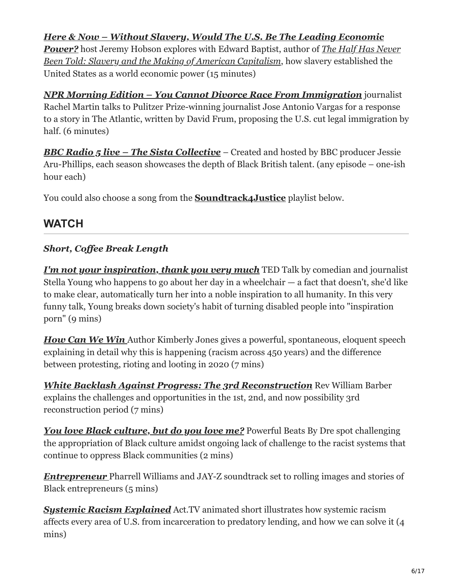#### *[Here & Now – Without Slavery, Would The U.S. Be The Leading Economic](https://www.wbur.org/hereandnow/2014/11/19/slavery-economy-baptist)*

*Power?* [host Jeremy Hobson explores with Edward Baptist, author of](http://www.amazon.com/The-Half-Never-Been-Told/dp/046500296X/?tag=wburorg-20) *The Half Has Never Been Told: Slavery and the Making of American Capitalism*, how slavery established the United States as a world economic power (15 minutes)

*[NPR Morning Edition – You Cannot Divorce Race From Immigration](https://www.npr.org/2019/05/08/721329196/you-cannot-divorce-race-from-immigration-jose-antonio-vargas-says)* journalist Rachel Martin talks to Pulitzer Prize-winning journalist Jose Antonio Vargas for a response to a story in The Atlantic, written by David Frum, proposing the U.S. cut legal immigration by half. (6 minutes)

*[BBC Radio 5 live – The Sista Collective](https://www.bbc.co.uk/programmes/p06ptdhf)* – Created and hosted by BBC producer Jessie Aru-Phillips, each season showcases the depth of Black British talent. (any episode – one-ish hour each)

You could also choose a song from the **[Soundtrack4Justice](https://debbyirving.com/21-day-challenge/#inspire)** playlist below.

## **WATCH**

#### *Short, Coffee Break Length*

*[I'm not your inspiration, thank you very much](https://www.ted.com/talks/stella_young_i_m_not_your_inspiration_thank_you_very_much?language=en)* TED Talk by comedian and journalist Stella Young who happens to go about her day in a wheelchair  $-$  a fact that doesn't, she'd like to make clear, automatically turn her into a noble inspiration to all humanity. In this very funny talk, Young breaks down society's habit of turning disabled people into "inspiration porn" (9 mins)

*[How Can We Win](https://www.youtube.com/watch?v=llci8MVh8J4)* Author Kimberly Jones gives a powerful, spontaneous, eloquent speech explaining in detail why this is happening (racism across 450 years) and the difference between protesting, rioting and looting in 2020 (7 mins)

*[White Backlash Against Progress: The 3rd Reconstruction](https://www.youtube.com/watch?v=Zoo3GEfhPwo)* Rev William Barber explains the challenges and opportunities in the 1st, 2nd, and now possibility 3rd reconstruction period (7 mins)

*[You love Black culture, but do you love me?](https://adage.com/creativity/work/beats-dres-beautiful-defiant-spot-questions-your-love-black-culture/2294261?fbclid=IwAR1U9JZfEfwYBZHIvCITzbm-WnckuDtT0OJojCCv4FiQuS7fW9NCj2lNx5Y)* Powerful Beats By Dre spot challenging the appropriation of Black culture amidst ongoing lack of challenge to the racist systems that continue to oppress Black communities (2 mins)

*[Entrepreneur](https://www.youtube.com/watch?v=bTOoY5MIkvM)* Pharrell Williams and JAY-Z soundtrack set to rolling images and stories of Black entrepreneurs (5 mins)

*[Systemic Racism Explained](https://www.youtube.com/watch?v=YrHIQIO_bdQ&feature=youtu.be&fbclid=IwAR2IXGXxBWOEBVfQXmXbZfsDZZvJY9fmFts6mKwhY6KBHd2KN5e-9_W1qEU)* Act.TV animated short illustrates how systemic racism affects every area of U.S. from incarceration to predatory lending, and how we can solve it (4 mins)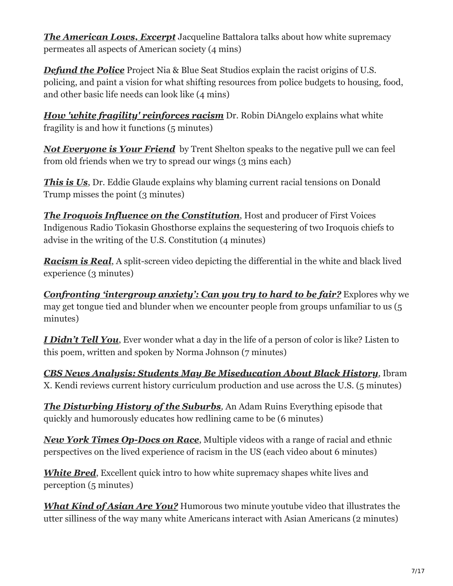*[The American Lows, Excerpt](https://youtu.be/ziNWW_PEphs)* Jacqueline Battalora talks about how white supremacy permeates all aspects of American society (4 mins)

**[Defund the Police](https://www.youtube.com/watch?v=bT0YpOmk8NA&link_id=1&can_id=8098303dcc20129838515cb77e8207ed&source=email-defund-police-an-animated-video&email_referrer=email_964672&email_subject=defund-police-an-animated-video&fbclid=IwAR0bk2M24YgAW3dsFFKhjyFuQb8w6oPtpFix8P7Ew4xJLTUm9u67ofbizyw)** Project Nia & Blue Seat Studios explain the racist origins of U.S. policing, and paint a vision for what shifting resources from police budgets to housing, food, and other basic life needs can look like (4 mins)

*[How 'white fragility' reinforces racism](https://www.theguardian.com/world/video/2020/jun/26/how-white-fragility-obstructs-the-fight-against-racism-video-explainer)* Dr. Robin DiAngelo explains what white fragility is and how it functions (5 minutes)

*[Not Everyone is Your Friend](https://www.youtube.com/watch?v=1Xs4JXfeV_s&feature=youtu.be)* by Trent Shelton speaks to the negative pull we can feel from old friends when we try to spread our wings (3 mins each)

*[This is Us](https://www.youtube.com/watch?v=Fe94RTSMh2s&feature=emb_logo)*, Dr. Eddie Glaude explains why blaming current racial tensions on Donald Trump misses the point (3 minutes)

*[The Iroquois Influence on the Constitution](https://www.youtube.com/watch?v=6ka7HgmQYDw&t=14s)*, Host and producer of First Voices Indigenous Radio Tiokasin Ghosthorse explains the sequestering of two Iroquois chiefs to advise in the writing of the U.S. Constitution (4 minutes)

*[Racism is Real](http://www.vox.com/2015/4/30/8520305/systemic-racism-video)*, A split-screen video depicting the differential in the white and black lived experience (3 minutes)

*[Confronting 'intergroup anxiety': Can you try to hard to be fair?](https://www.youtube.com/watch?v=UsBpGmUeAsI)* Explores why we may get tongue tied and blunder when we encounter people from groups unfamiliar to us (5 minutes)

*[I Didn't Tell You](https://www.youtube.com/watch?v=3UVIgjuovt8)*, Ever wonder what a day in the life of a person of color is like? Listen to this poem, written and spoken by Norma Johnson (7 minutes)

*[CBS News Analysis: Students May Be Miseducation About Black History](https://www.cbsnews.com/news/us-history-how-teaching-americas-past-varies-across-the-country/)*, Ibram X. Kendi reviews current history curriculum production and use across the U.S. (5 minutes)

*[The Disturbing History of the Suburbs](https://www.youtube.com/watch?v=ETR9qrVS17g),* An Adam Ruins Everything episode that quickly and humorously educates how redlining came to be (6 minutes)

*[New York Times Op-Docs on Race](https://www.nytimes.com/interactive/projects/your-stories/conversations-on-race)*, Multiple videos with a range of racial and ethnic perspectives on the lived experience of racism in the US (each video about 6 minutes)

*[White Bred](https://vimeo.com/226104095)*, Excellent quick intro to how white supremacy shapes white lives and perception (5 minutes)

*[What Kind of Asian Are You?](http://www.youtube.com/watch?v=DWynJkN5HbQ)* Humorous two minute youtube video that illustrates the utter silliness of the way many white Americans interact with Asian Americans (2 minutes)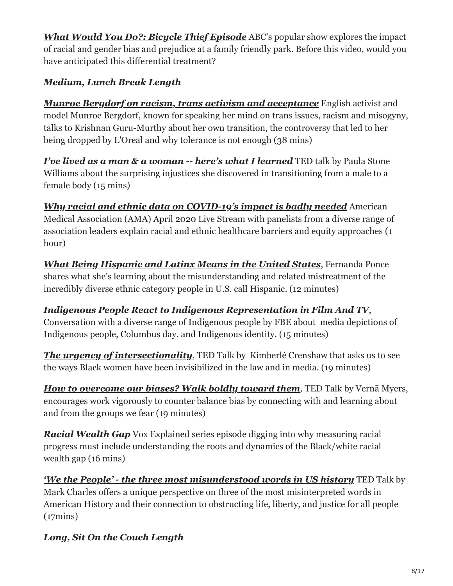*[What Would You Do?: Bicycle Thief Episode](https://youtu.be/ge7i60GuNRg)* ABC's popular show explores the impact of racial and gender bias and prejudice at a family friendly park. Before this video, would you have anticipated this differential treatment?

#### *Medium, Lunch Break Length*

*[Munroe Bergdorf on racism, trans activism and acceptance](https://www.youtube.com/watch?v=N78k30MMrl8)* English activist and model Munroe Bergdorf, known for speaking her mind on trans issues, racism and misogyny, talks to Krishnan Guru-Murthy about her own transition, the controversy that led to her being dropped by L'Oreal and why tolerance is not enough (38 mins)

*[I've lived as a man & a woman -- here's what I learned](https://www.youtube.com/watch?v=lrYx7HaUlMY&app=desktop)* TED talk by Paula Stone Williams about the surprising injustices she discovered in transitioning from a male to a female body (15 mins)

*[Why racial and ethnic data on COVID-19's impact is badly needed](https://www.youtube.com/watch?v=KFCo_VLcFvI&feature=emb_logo)* American Medical Association (AMA) April 2020 Live Stream with panelists from a diverse range of association leaders explain racial and ethnic healthcare barriers and equity approaches (1 hour)

*[What Being Hispanic and Latinx Means in the United States](https://www.youtube.com/watch?v=Q1A4Vsh5Qas)*, Fernanda Ponce shares what she's learning about the misunderstanding and related mistreatment of the incredibly diverse ethnic category people in U.S. call Hispanic. (12 minutes)

*[Indigenous People React to Indigenous Representation in Film And TV](https://www.youtube.com/watch?v=7ZkyL5pn74E)*, Conversation with a diverse range of Indigenous people by FBE about media depictions of Indigenous people, Columbus day, and Indigenous identity. (15 minutes)

*[The urgency of intersectionality](https://www.ted.com/talks/kimberle_crenshaw_the_urgency_of_intersectionality#t-1117454)*, TED Talk by Kimberlé Crenshaw that asks us to see the ways Black women have been invisibilized in the law and in media. (19 minutes)

*[How to overcome our biases? Walk boldly toward them](https://www.youtube.com/watch?v=uYyvbgINZkQ)*, TED Talk by Verna Myers, encourages work vigorously to counter balance bias by connecting with and learning about and from the groups we fear (19 minutes)

*[Racial Wealth Gap](https://www.youtube.com/watch?v=Mqrhn8khGLM)* Vox Explained series episode digging into why measuring racial progress must include understanding the roots and dynamics of the Black/white racial wealth gap (16 mins)

*['We the People' - the three most misunderstood words in US history](https://www.youtube.com/watch?v=HOktqY5wY4A&fbclid=IwAR1OPMjJjMslqaBzG3Be3fpy_u5jzpd3o1genqvay4pvzO5ijM-gEQJU5hQ)* TED Talk by Mark Charles offers a unique perspective on three of the most misinterpreted words in American History and their connection to obstructing life, liberty, and justice for all people (17mins)

#### *Long, Sit On the Couch Length*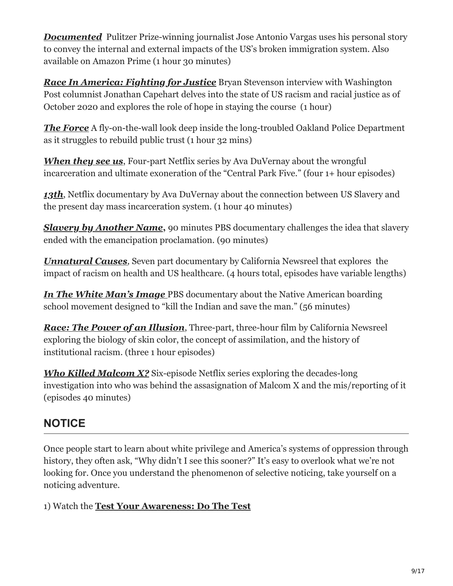*[Documented](https://documentedthefilm.com/)* Pulitzer Prize-winning journalist Jose Antonio Vargas uses his personal story to convey the internal and external impacts of the US's broken immigration system. Also available on Amazon Prime (1 hour 30 minutes)

*[Race In America: Fighting for Justice](https://www.youtube.com/watch?time_continue=991&v=u6GQEPP8svo&feature=emb_logo)* Bryan Stevenson interview with Washington Post columnist Jonathan Capehart delves into the state of US racism and racial justice as of October 2020 and explores the role of hope in staying the course (1 hour)

*[The Force](https://www.youtube.com/watch?v=7UNhA8-2IEk&has_verified=1)* A fly-on-the-wall look deep inside the long-troubled Oakland Police Department as it struggles to rebuild public trust (1 hour 32 mins)

*[When they see us](https://www.youtube.com/watch?v=YyoSErErnCE)*, Four-part Netflix series by Ava DuVernay about the wrongful incarceration and ultimate exoneration of the "Central Park Five." (four 1+ hour episodes)

**[13th](https://www.youtube.com/watch?v=krfcq5pF8u8)**, Netflix documentary by Ava DuVernay about the connection between US Slavery and the present day mass incarceration system. (1 hour 40 minutes)

**[Slavery by Another Name](http://www.pbs.org/tpt/slavery-by-another-name/home/)**, 90 minutes PBS documentary challenges the idea that slavery ended with the emancipation proclamation. (90 minutes)

*[Unnatural Causes](https://unnaturalcauses.org/about_the_series.php),* Seven part documentary by California Newsreel that explores the impact of racism on health and US healthcare. (4 hours total, episodes have variable lengths)

*[In The White Man's Image](https://www.youtube.com/watch?v=RUCIMqlztd0)* PBS documentary about the Native American boarding school movement designed to "kill the Indian and save the man." (56 minutes)

*[Race: The Power of an Illusion](http://vimeo.com/ondemand/race)*, Three-part, three-hour film by California Newsreel exploring the biology of skin color, the concept of assimilation, and the history of institutional racism. (three 1 hour episodes)

*[Who Killed Malcom X?](https://www.netflix.com/search?q=who%20killed%20malcom)* Six-episode Netflix series exploring the decades-long investigation into who was behind the assasignation of Malcom X and the mis/reporting of it (episodes 40 minutes)

## **NOTICE**

Once people start to learn about white privilege and America's systems of oppression through history, they often ask, "Why didn't I see this sooner?" It's easy to overlook what we're not looking for. Once you understand the phenomenon of selective noticing, take yourself on a noticing adventure.

1) Watch the **[Test Your Awareness: Do The Test](https://www.youtube.com/watch?v=Ahg6qcgoay4)**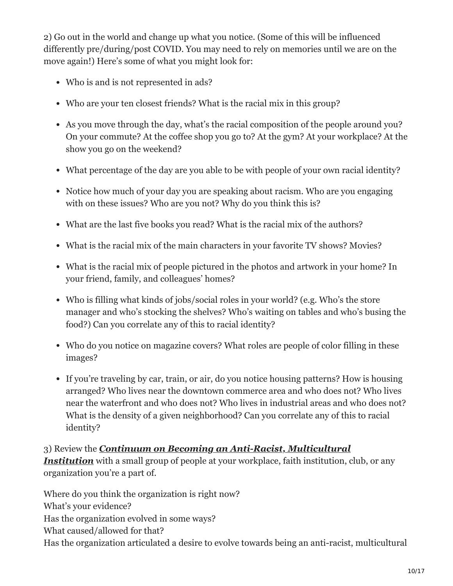2) Go out in the world and change up what you notice. (Some of this will be influenced differently pre/during/post COVID. You may need to rely on memories until we are on the move again!) Here's some of what you might look for:

- Who is and is not represented in ads?
- Who are your ten closest friends? What is the racial mix in this group?
- As you move through the day, what's the racial composition of the people around you? On your commute? At the coffee shop you go to? At the gym? At your workplace? At the show you go on the weekend?
- What percentage of the day are you able to be with people of your own racial identity?
- Notice how much of your day you are speaking about racism. Who are you engaging with on these issues? Who are you not? Why do you think this is?
- What are the last five books you read? What is the racial mix of the authors?
- What is the racial mix of the main characters in your favorite TV shows? Movies?
- What is the racial mix of people pictured in the photos and artwork in your home? In your friend, family, and colleagues' homes?
- Who is filling what kinds of jobs/social roles in your world? (e.g. Who's the store manager and who's stocking the shelves? Who's waiting on tables and who's busing the food?) Can you correlate any of this to racial identity?
- Who do you notice on magazine covers? What roles are people of color filling in these images?
- If you're traveling by car, train, or air, do you notice housing patterns? How is housing arranged? Who lives near the downtown commerce area and who does not? Who lives near the waterfront and who does not? Who lives in industrial areas and who does not? What is the density of a given neighborhood? Can you correlate any of this to racial identity?

3) Review the *Continuum on Becoming an Anti-Racist, Multicultural* **Institution** [with a small group of people at your workplace, faith institution, c](https://racc.org/wp-content/uploads/buildingblocks/foundation/Continuum%20on%20Becoming%20an%20Anti-Racist,%20Multicultural%20Institution.pdf)lub, or any organization you're a part of.

Where do you think the organization is right now? What's your evidence? Has the organization evolved in some ways? What caused/allowed for that? Has the organization articulated a desire to evolve towards being an anti-racist, multicultural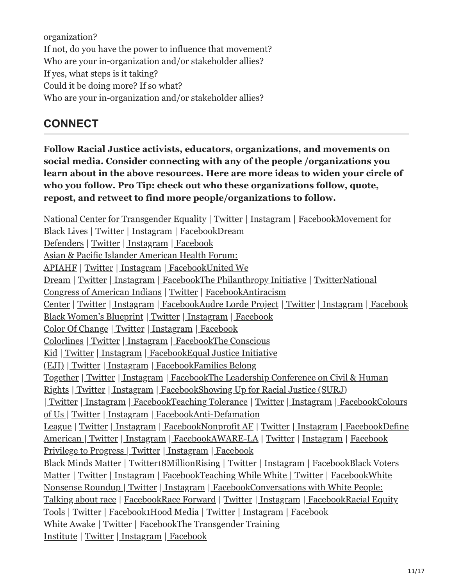organization? If not, do you have the power to influence that movement? Who are your in-organization and/or stakeholder allies? If yes, what steps is it taking? Could it be doing more? If so what? Who are your in-organization and/or stakeholder allies?

## **CONNECT**

**Follow Racial Justice activists, educators, organizations, and movements on social media. Consider connecting with any of the people /organizations you learn about in the above resources. Here are more ideas to widen your circle of who you follow. Pro Tip: check out who these organizations follow, quote, repost, and retweet to find more people/organizations to follow.**

[National Center for Transgender Equality](https://transequality.org/) [| T](https://m4bl.org/)[witte](https://twitter.com/TransEquality?ref_src=twsrc%5Egoogle%7Ctwcamp%5Eserp%7Ctwgr%5Eauthor)[r |](https://m4bl.org/) [Instagra](https://www.instagram.com/transequalitynow/?hl=en)[m |](https://m4bl.org/) [Faceboo](https://www.facebook.com/TransEqualityNow/)[kMovement for](https://m4bl.org/) [Black Lives |](https://dreamdefenders.org/) [Twitter](https://twitter.com/Mvmnt4BlkLives?ref_src=twsrc%5Egoogle%7Ctwcamp%5Eserp%7Ctwgr%5Eauthor) [|](https://dreamdefenders.org/) [Instagram](https://www.instagram.com/mvmnt4blklives/?hl=en) [|](https://dreamdefenders.org/) [Facebook](https://www.facebook.com/mvmt4bl/)[Dream](https://dreamdefenders.org/) Defenders | [Twitter](https://twitter.com/dreamdefenders) | [Instagram](https://instagram.com/thedreamdefenders) | [Facebook](https://facebook.com/dreamdefenders) Asian & Pacific Islander American Health Forum: [APIAHF | Twitter | Instagram | FacebookUnited W](https://www.apiahf.org/)e [Dream | Twitter | Instagram | FacebookThe Philant](https://unitedwedream.org/)[hropy Initiative](https://www.tpi.org/) [|](https://www.ncai.org/) [Twitter](http://twitter.com/TPIPhilanthropy)[National](https://www.ncai.org/) Congress of American Indians | [Twitter](https://twitter.com/NCAI1944) | [Facebook](https://www.facebook.com/ncai1944)Antiracism [Center | Twitter | Instagram | FacebookAudre Lorde Project |](https://www.ibramxkendi.com/antiracism-center-2) [Twitter](https://twitter.com/AstraeaUpdates) | [Instagram](https://www.instagram.com/astraeafndtn/) [| Facebook](https://www.facebook.com/AstraeaLFJ) [Black Women's Blueprint](https://www.blackwomensblueprint.org/) | [Twitter](https://twitter.com/blackwomensbp?lang=en) [| Instagram](https://www.instagram.com/blackwomensblueprint/?hl=en) | [Facebook](https://www.facebook.com/blackwomens.BWBNY/) [Color Of Change](https://colorofchange.org/careers/?gclid=Cj0KCQiAtqL-BRC0ARIsAF4K3WHBB0hbysYlWxCId5vvzXjdu6jI2pj-GVbY2BAZTLvWlF4En9Cqx5waAmywEALw_wcB#op-336965-special-projects-manager/?source=google_ad) | [Twitter](https://twitter.com/ColorOfChange?ref_src=twsrc%5Egoogle%7Ctwcamp%5Eserp%7Ctwgr%5Eauthor) [| Instagram](https://www.instagram.com/colorofchange/?hl=en) | [Facebook](https://www.facebook.com/colorofchange) [Colorlines](https://www.colorlines.com/) [|](https://www.theconsciouskid.org/) [Twitte](https://twitter.com/Colorlines)[r |](https://www.theconsciouskid.org/) [Instagra](https://www.instagram.com/colorlinesnews/)[m |](https://www.theconsciouskid.org/) [Facebook](https://www.facebook.com/colorlines)[The Conscious](https://www.theconsciouskid.org/) [Kid |](https://eji.org/) [Twitter](https://twitter.com/consciouskidlib) [|](https://eji.org/) [Instagram](https://www.instagram.com/theconsciouskid/) [|](https://eji.org/) [Facebook](https://www.facebook.com/theconsciouskid)[Equal Justice Initiative](https://eji.org/) [\(EJI\) |](https://www.familiesbelongtogether.org/) [Twitter](https://twitter.com/eji_org) [|](https://www.familiesbelongtogether.org/) [Instagram](https://www.instagram.com/eji_org/) [|](https://www.familiesbelongtogether.org/) [Facebook](https://www.facebook.com/equaljusticeinitiative)[Families Belong](https://www.familiesbelongtogether.org/) [Together |](https://civilrights.org/) [Twitter](https://twitter.com/fams2gether) [|](https://civilrights.org/) [Instagra](https://www.instagram.com/fams2gether/)[m |](https://civilrights.org/) [Facebook](https://www.facebook.com/fams2gether)[The Leadership Conference on Civil & Human](https://civilrights.org/) Rights [| Twitter](http://twitter.com/civilrightsorg) | [Instagram](https://www.instagram.com/civilrightsorg/) | [Facebook](https://www.facebook.com/civilandhumanrights)[Showing Up for Racial Justice \(SURJ\)](https://www.showingupforracialjustice.org/) [|](https://coloursofus.com/) [Twitte](https://twitter.com/ShowUp4RJ)[r |](https://coloursofus.com/) [Instagra](https://www.instagram.com/showingupforracialjustice/)[m |](https://coloursofus.com/) [Faceboo](https://www.facebook.com/ShowingUpForRacialJustice)[k](https://coloursofus.com/)[Teaching Toleranc](http://www.tolerance.org/)[e |](https://coloursofus.com/) [Twitter](http://twitter.com/Tolerance_org) [|](https://coloursofus.com/) [Instagram](https://www.instagram.com/teaching_tolerance) [|](https://coloursofus.com/) [Facebook](http://www.facebook.com/TeachingTolerance.org)[Colours](https://coloursofus.com/) of Us | [Twitter](https://twitter.com/coloursofus) | [Instagram](https://www.instagram.com/coloursofus/) [| FacebookA](https://www.facebook.com/coloursofus/)nti-Defamation [League | Twitter | Instagram | FacebookNonprofit AF |](https://www.adl.org/) [T](https://www.defineamerican.com/about)[witter](https://twitter.com/NonprofitAF?ref_src=twsrc%5Egoogle%7Ctwcamp%5Eserp%7Ctwgr%5Eauthor) [|](https://www.defineamerican.com/about) [Instagram](https://www.instagram.com/nonprofitaf/?hl=en) [|](https://www.defineamerican.com/about) [Facebook](https://www.facebook.com/nonprofitAF/)[Define](https://www.defineamerican.com/about) American | [Twitter](https://twitter.com/defineamerican?lang=en#:~:text=We%20are%20a%20media%20advocacy,to%20humanize%20conversations%20around%20immigrants.) | [Instagram](https://www.instagram.com/defineamerican/?hl=en) | [Facebook](https://www.facebook.com/DefineAmerican/#:~:text=Define%20American%20is%20a%20culture,Read%20More)[AWARE-LA](https://www.awarela.org/) | [Twitter](https://twitter.com/wp4bl) | [Instagram](https://www.instagram.com/wp4bl/) | [Facebook](https://www.facebook.com/wp4bl) [Privilege to Progress |](https://fromprivilegetoprogress.org/) [Twitter](https://twitter.com/privtoprog) [| Instagram](https://www.instagram.com/privtoprog) | [Facebook](https://www.facebook.com/privtoprog) [Black Minds Matter](https://www.blackmindsmatter.com/) [|](https://blackvotersmatterfund.org/) [Twitte](https://twitter.com/blackminds3)[r](https://blackvotersmatterfund.org/)[18MillionRising](https://18millionrising.org/page8/) [|](https://blackvotersmatterfund.org/) [Twitte](https://twitter.com/18millionrising)[r |](https://blackvotersmatterfund.org/) [Instagram](http://instagram.com/18millionrising) [|](https://blackvotersmatterfund.org/) [Faceboo](https://facebook.com/18MillionRising.org)[kBlack Voters](https://blackvotersmatterfund.org/) [Matter | T](https://whitenonsenseroundup.com/)[witte](https://twitter.com/blackvotersmtr?lang=en)[r |](https://whitenonsenseroundup.com/) [Instagra](https://www.instagram.com/blackvotersmtr/)[m |](https://whitenonsenseroundup.com/) [Faceboo](https://www.facebook.com/BlackVotersMtr/)[k](https://whitenonsenseroundup.com/)[Teaching While White |](https://teachingwhilewhite.org/)[Twitte](https://twitter.com/tww_podblog?lang=en)[r |](https://whitenonsenseroundup.com/) [Facebook](https://www.facebook.com/Teaching-While-White-737638136419928/)[White](https://whitenonsenseroundup.com/) Nonsense Roundup | [Twitter](https://twitter.com/nowhitenonsense) | [Instagram](http://www.instagram.com/whitenonsenseroundup) | [Facebook](https://facebook.com/whitenonsenseroundup)Conversations with White People: [Talking about race | FacebookRace Forward | Twitter | Instagram | FacebookRacial Eq](https://www.facebook.com/groups/CriticalConvos/?ref=group_header)[uity](http://racialequitytools.org/home) Tools | [Twitter](https://twitter.com/raceequity?lang=en) | [Facebook](https://www.facebook.com/RacialEquityTools/)[1Hood Media](https://www.1hood.org/) | [Twitter](https://twitter.com/1hood) | [Instagram](https://www.instagram.com/1hoodmedia/?hl=en) | [Facebook](http://www.facebook.com/1HoodMedia) [White Awak](https://whiteawake.org/)[e | T](https://www.transgendertraininginstitute.com/)[witte](https://twitter.com/whiteawake)[r |](https://www.transgendertraininginstitute.com/) [Faceboo](https://www.facebook.com/pages/category/Nonprofit-Organization/White-Awake-325759947539605/)[kThe Transgender Training](https://www.transgendertraininginstitute.com/) Institute | [Twitter](https://twitter.com/Trans_Training_) [| Instagram](https://www.instagram.com/trans_training_institute/) [| Facebook](https://www.facebook.com/transtraininginstitute/)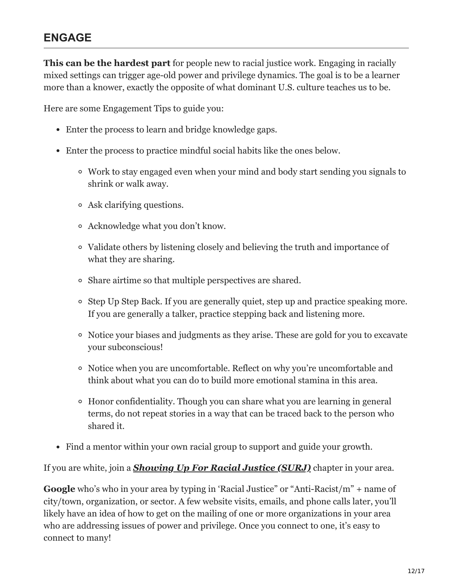## **ENGAGE**

**This can be the hardest part** for people new to racial justice work. Engaging in racially mixed settings can trigger age-old power and privilege dynamics. The goal is to be a learner more than a knower, exactly the opposite of what dominant U.S. culture teaches us to be.

Here are some Engagement Tips to guide you:

- Enter the process to learn and bridge knowledge gaps.
- Enter the process to practice mindful social habits like the ones below.
	- Work to stay engaged even when your mind and body start sending you signals to shrink or walk away.
	- Ask clarifying questions.
	- Acknowledge what you don't know.
	- Validate others by listening closely and believing the truth and importance of what they are sharing.
	- Share airtime so that multiple perspectives are shared.
	- Step Up Step Back. If you are generally quiet, step up and practice speaking more. If you are generally a talker, practice stepping back and listening more.
	- Notice your biases and judgments as they arise. These are gold for you to excavate your subconscious!
	- Notice when you are uncomfortable. Reflect on why you're uncomfortable and think about what you can do to build more emotional stamina in this area.
	- Honor confidentiality. Though you can share what you are learning in general terms, do not repeat stories in a way that can be traced back to the person who shared it.
- Find a mentor within your own racial group to support and guide your growth.

If you are white, join a *[Showing Up For Racial Justice \(SURJ\)](https://www.showingupforracialjustice.org/chapters-and-affiliates.html)* chapter in your area.

**Google** who's who in your area by typing in 'Racial Justice" or "Anti-Racist/m" + name of city/town, organization, or sector. A few website visits, emails, and phone calls later, you'll likely have an idea of how to get on the mailing of one or more organizations in your area who are addressing issues of power and privilege. Once you connect to one, it's easy to connect to many!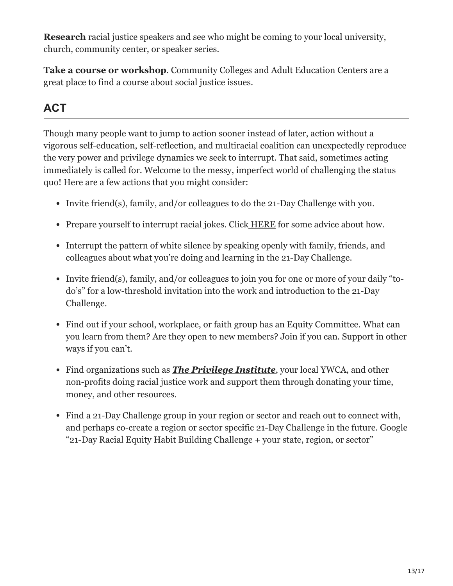**Research** racial justice speakers and see who might be coming to your local university, church, community center, or speaker series.

**Take a course or workshop**. Community Colleges and Adult Education Centers are a great place to find a course about social justice issues.

# **ACT**

Though many people want to jump to action sooner instead of later, action without a vigorous self-education, self-reflection, and multiracial coalition can unexpectedly reproduce the very power and privilege dynamics we seek to interrupt. That said, sometimes acting immediately is called for. Welcome to the messy, imperfect world of challenging the status quo! Here are a few actions that you might consider:

- Invite friend(s), family, and/or colleagues to do the 21-Day Challenge with you.
- Prepare yourself to interrupt racial jokes. Click [HERE](https://www.youtube.com/watch?v=Bg1aTLsS69Y&feature=youtu.be) for some advice about how.
- Interrupt the pattern of white silence by speaking openly with family, friends, and colleagues about what you're doing and learning in the 21-Day Challenge.
- Invite friend(s), family, and/or colleagues to join you for one or more of your daily "todo's" for a low-threshold invitation into the work and introduction to the 21-Day Challenge.
- Find out if your school, workplace, or faith group has an Equity Committee. What can you learn from them? Are they open to new members? Join if you can. Support in other ways if you can't.
- Find organizations such as *[The Privilege Institute](https://www.theprivilegeinstitute.com/)*, your local YWCA, and other non-profits doing racial justice work and support them through donating your time, money, and other resources.
- Find a 21-Day Challenge group in your region or sector and reach out to connect with, and perhaps co-create a region or sector specific 21-Day Challenge in the future. Google "21-Day Racial Equity Habit Building Challenge + your state, region, or sector"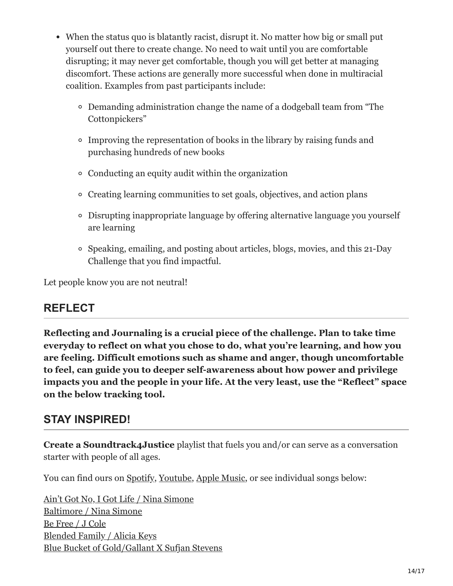- When the status quo is blatantly racist, disrupt it. No matter how big or small put yourself out there to create change. No need to wait until you are comfortable disrupting; it may never get comfortable, though you will get better at managing discomfort. These actions are generally more successful when done in multiracial coalition. Examples from past participants include:
	- Demanding administration change the name of a dodgeball team from "The Cottonpickers"
	- Improving the representation of books in the library by raising funds and purchasing hundreds of new books
	- Conducting an equity audit within the organization
	- Creating learning communities to set goals, objectives, and action plans
	- Disrupting inappropriate language by offering alternative language you yourself are learning
	- Speaking, emailing, and posting about articles, blogs, movies, and this 21-Day Challenge that you find impactful.

Let people know you are not neutral!

## **REFLECT**

**Reflecting and Journaling is a crucial piece of the challenge. Plan to take time everyday to reflect on what you chose to do, what you're learning, and how you are feeling. Difficult emotions such as shame and anger, though uncomfortable to feel, can guide you to deeper self-awareness about how power and privilege impacts you and the people in your life. At the very least, use the "Reflect" space on the below tracking tool.**

## **STAY INSPIRED!**

**Create a Soundtrack4Justice** playlist that fuels you and/or can serve as a conversation starter with people of all ages.

You can find ours on [Spotify](https://open.spotify.com/playlist/1rKiULo4u6T74AqK9tTvmW), [Youtube,](https://www.youtube.com/playlist?list=PLTcp7zT4xE24y4FefXqbjiHipEoTVfLhL) [Apple Music,](https://music.apple.com/us/playlist/soundtrack4justice/pl.u-mJy81BRTzygopR) or see individual songs below:

[Ain't Got No, I Got Life / Nina Simone](https://www.youtube.com/watch?v=L5jI9I03q8E) [Baltimore / Nina Simone](https://www.youtube.com/watch?v=EJIVV-mnPyY) [Be Free / J Cole](https://www.youtube.com/watch?v=y9XJRSp3Xtg) [Blended Family / Alicia Keys](https://www.youtube.com/watch?v=G2ufCXfaRHM) [Blue Bucket of Gold/Gallant X Sufjan Stevens](https://www.youtube.com/watch?v=6E32pmKutjY)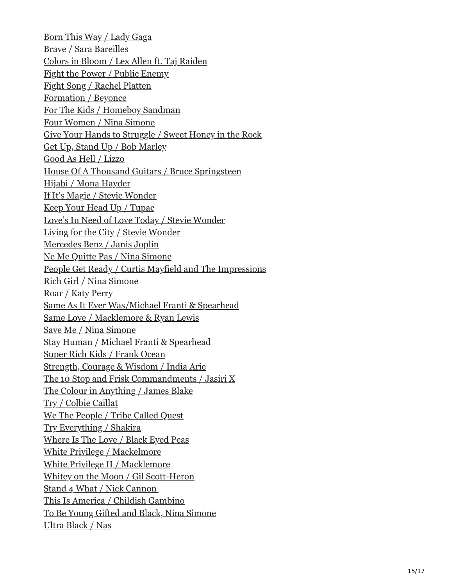[Born This Way / Lady Gaga](https://www.youtube.com/watch?v=wV1FrqwZyKw) [Brave / Sara Bareilles](https://www.youtube.com/watch?v=QUQsqBqxoR4) [Colors in Bloom / Lex Allen ft. Taj Raiden](https://www.youtube.com/watch?v=59JCC0UtKWg) [Fight the Power / Public Enemy](https://www.youtube.com/watch?v=8PaoLy7PHwk) [Fight Song / Rachel Platten](https://www.youtube.com/watch?v=xo1VInw-SKc) [Formation / Beyonce](https://www.youtube.com/watch?v=WDZJPJV__bQ) [For The Kids / Homeboy Sandman](https://www.youtube.com/watch?v=VTiPXvdS3mo) [Four Women / Nina Simone](https://www.youtube.com/watch?v=tgoRc3GoXo8) [Give Your Hands to Struggle / Sweet Honey in the Rock](https://www.youtube.com/watch?v=LV9Vf0a7YtM) [Get Up, Stand Up / Bob Marley](https://www.youtube.com/watch?v=X2W3aG8uizA) [Good As Hell / Lizzo](https://www.youtube.com/watch?v=vuq-VAiW9kw) [House Of A Thousand Guitars / Bruce Springsteen](https://www.youtube.com/watch?v=KzvnEvbL-qs) [Hijabi / Mona Hayder](https://www.youtube.com/watch?v=Ackt0X20D_0) [If It's Magic / Stevie Wonder](https://www.youtube.com/watch?v=0XeOGzx4EAE) [Keep Your Head Up / Tupac](https://www.youtube.com/watch?v=OedT8rSE_S0) [Love's In Need of Love Today / Stevie Wonder](https://www.youtube.com/watch?v=_ZditPOzJnM) [Living for the City / Stevie Wonder](https://www.youtube.com/watch?v=JeMfwUN5z_4) [Mercedes Benz / Janis Joplin](https://www.youtube.com/watch?v=Qev-i9-VKlY) [Ne Me Quitte Pas / Nina Simone](https://www.youtube.com/watch?v=9rJ_sgv645o) [People Get Ready / Curtis Mayfield and The Impressions](https://www.youtube.com/watch?v=NdKEbnS1eBE) [Rich Girl / Nina Simone](https://www.youtube.com/watch?v=DF5QpwtEa1k) [Roar / Katy Perry](https://www.youtube.com/watch?v=CevxZvSJLk8) [Same As It Ever Was/Michael Franti & Spearhead](https://www.youtube.com/watch?v=-rJbvVX2ADQ) [Same Love / Macklemore & Ryan Lewis](https://www.youtube.com/watch?v=hlVBg7_08n0) [Save Me / Nina Simone](https://www.youtube.com/watch?v=KMI2LRujUXM) [Stay Human / Michael Franti & Spearhead](https://www.youtube.com/watch?v=hp5q80LxkNc) [Super Rich Kids / Frank Ocean](https://www.youtube.com/watch?v=0XCQNpjWmRE) [Strength, Courage & Wisdom / India Arie](https://www.youtube.com/watch?v=u6P4jI8t-0I) [The 10 Stop and Frisk Commandments / Jasiri X](https://www.youtube.com/watch?v=KijZYw5VxQU) [The Colour in Anything / James Blake](https://www.youtube.com/watch?v=44f6nfB3Zdk) [Try / Colbie Caillat](https://www.youtube.com/watch?v=GXoZLPSw8U8) [We The People / Tribe Called Quest](https://www.youtube.com/watch?v=vO2Su3erRIA) [Try Everything / Shakira](https://www.youtube.com/watch?v=c6rP-YP4c5I) [Where Is The Love / Black Eyed Peas](https://www.youtube.com/watch?v=WpYeekQkAdc) [White Privilege / Mackelmore](https://www.youtube.com/watch?v=gdVRlM-kSx8) [White Privilege II / Macklemore](https://www.youtube.com/watch?v=Y_rl4ZGdy34) [Whitey on the Moon / Gil Scott-Heron](https://www.youtube.com/watch?v=3nzoPopQ7V0) [Stand 4 What / Nick Cannon](https://www.youtube.com/watch?v=ui5fDxPronk)  [This Is America / Childish Gambino](https://www.youtube.com/watch?v=VYOjWnS4cMY) [To Be Young Gifted and Black, Nina Simone](https://www.youtube.com/watch?v=RTGiKYqk0gY) [Ultra Black / Nas](https://www.youtube.com/watch?v=1PDKlfbi4tY)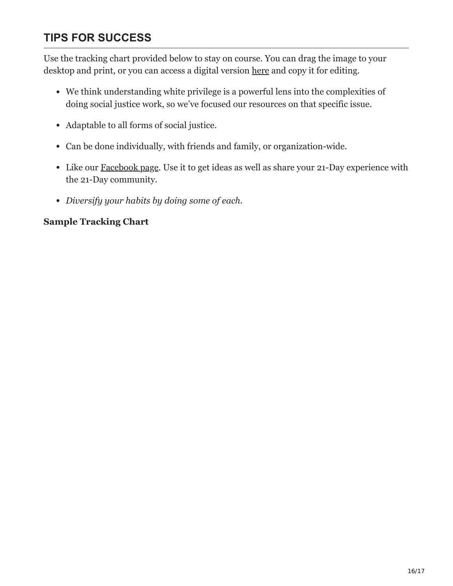## **TIPS FOR SUCCESS**

Use the tracking chart provided below to stay on course. You can drag the image to your desktop and print, or you can access a digital version [here](https://bit.ly/21DayTracker) and copy it for editing.

- We think understanding white privilege is a powerful lens into the complexities of doing social justice work, so we've focused our resources on that specific issue.
- Adaptable to all forms of social justice.
- Can be done individually, with friends and family, or organization-wide.
- Like our [Facebook page](https://www.facebook.com/21DayREHBC). Use it to get ideas as well as share your 21-Day experience with the 21-Day community.
- *Diversify your habits by doing some of each.*

#### **Sample Tracking Chart**